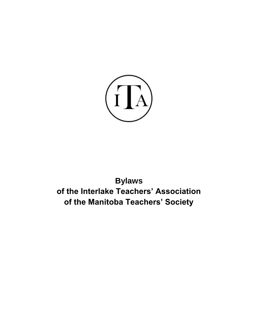

# **Bylaws of the Interlake Teachers' Association of the Manitoba Teachers' Society**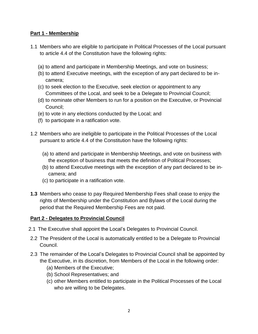# **Part 1 - Membership**

- 1.1 Members who are eligible to participate in Political Processes of the Local pursuant to article 4.4 of the Constitution have the following rights:
	- (a) to attend and participate in Membership Meetings, and vote on business;
	- (b) to attend Executive meetings, with the exception of any part declared to be incamera;
	- (c) to seek election to the Executive, seek election or appointment to any Committees of the Local, and seek to be a Delegate to Provincial Council;
	- (d) to nominate other Members to run for a position on the Executive, or Provincial Council;
	- (e) to vote in any elections conducted by the Local; and
	- (f) to participate in a ratification vote.
- 1.2 Members who are ineligible to participate in the Political Processes of the Local pursuant to article 4.4 of the Constitution have the following rights:
	- (a) to attend and participate in Membership Meetings, and vote on business with the exception of business that meets the definition of Political Processes;
	- (b) to attend Executive meetings with the exception of any part declared to be incamera; and
	- (c) to participate in a ratification vote.
- **1.3** Members who cease to pay Required Membership Fees shall cease to enjoy the rights of Membership under the Constitution and Bylaws of the Local during the period that the Required Membership Fees are not paid.

#### **Part 2 - Delegates to Provincial Council**

- 2.1 The Executive shall appoint the Local's Delegates to Provincial Council.
- 2.2 The President of the Local is automatically entitled to be a Delegate to Provincial Council.
- 2.3 The remainder of the Local's Delegates to Provincial Council shall be appointed by the Executive, in its discretion, from Members of the Local in the following order:
	- (a) Members of the Executive;
	- (b) School Representatives; and
	- (c) other Members entitled to participate in the Political Processes of the Local who are willing to be Delegates.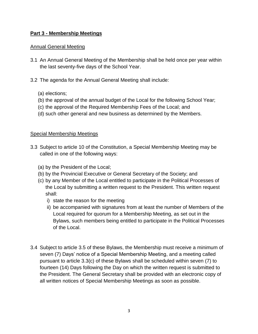# **Part 3 - Membership Meetings**

## Annual General Meeting

- 3.1 An Annual General Meeting of the Membership shall be held once per year within the last seventy-five days of the School Year.
- 3.2 The agenda for the Annual General Meeting shall include:
	- (a) elections;
	- (b) the approval of the annual budget of the Local for the following School Year;
	- (c) the approval of the Required Membership Fees of the Local; and
	- (d) such other general and new business as determined by the Members.

#### Special Membership Meetings

- 3.3 Subject to article 10 of the Constitution, a Special Membership Meeting may be called in one of the following ways:
	- (a) by the President of the Local;
	- (b) by the Provincial Executive or General Secretary of the Society; and
	- (c) by any Member of the Local entitled to participate in the Political Processes of the Local by submitting a written request to the President. This written request shall:
		- i) state the reason for the meeting
		- ii) be accompanied with signatures from at least the number of Members of the Local required for quorum for a Membership Meeting, as set out in the Bylaws, such members being entitled to participate in the Political Processes of the Local.
- 3.4 Subject to article 3.5 of these Bylaws, the Membership must receive a minimum of seven (7) Days' notice of a Special Membership Meeting, and a meeting called pursuant to article 3.3(c) of these Bylaws shall be scheduled within seven (7) to fourteen (14) Days following the Day on which the written request is submitted to the President. The General Secretary shall be provided with an electronic copy of all written notices of Special Membership Meetings as soon as possible.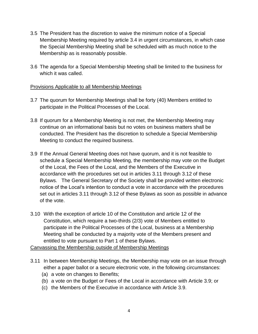- 3.5 The President has the discretion to waive the minimum notice of a Special Membership Meeting required by article 3.4 in urgent circumstances, in which case the Special Membership Meeting shall be scheduled with as much notice to the Membership as is reasonably possible.
- 3.6 The agenda for a Special Membership Meeting shall be limited to the business for which it was called.

#### Provisions Applicable to all Membership Meetings

- 3.7 The quorum for Membership Meetings shall be forty (40) Members entitled to participate in the Political Processes of the Local.
- 3.8 If quorum for a Membership Meeting is not met, the Membership Meeting may continue on an informational basis but no votes on business matters shall be conducted. The President has the discretion to schedule a Special Membership Meeting to conduct the required business.
- 3.9 If the Annual General Meeting does not have quorum, and it is not feasible to schedule a Special Membership Meeting, the membership may vote on the Budget of the Local, the Fees of the Local, and the Members of the Executive in accordance with the procedures set out in articles 3.11 through 3.12 of these Bylaws. The General Secretary of the Society shall be provided written electronic notice of the Local's intention to conduct a vote in accordance with the procedures set out in articles 3.11 through 3.12 of these Bylaws as soon as possible in advance of the vote.
- 3.10 With the exception of article 10 of the Constitution and article 12 of the Constitution, which require a two-thirds (2/3) vote of Members entitled to participate in the Political Processes of the Local, business at a Membership Meeting shall be conducted by a majority vote of the Members present and entitled to vote pursuant to Part 1 of these Bylaws.

Canvassing the Membership outside of Membership Meetings

- 3.11 In between Membership Meetings, the Membership may vote on an issue through either a paper ballot or a secure electronic vote, in the following circumstances:
	- (a) a vote on changes to Benefits;
	- (b) a vote on the Budget or Fees of the Local in accordance with Article 3.9; or
	- (c) the Members of the Executive in accordance with Article 3.9.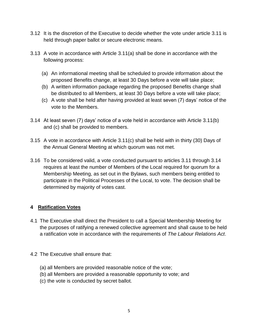- 3.12 It is the discretion of the Executive to decide whether the vote under article 3.11 is held through paper ballot or secure electronic means.
- 3.13 A vote in accordance with Article 3.11(a) shall be done in accordance with the following process:
	- (a) An informational meeting shall be scheduled to provide information about the proposed Benefits change, at least 30 Days before a vote will take place;
	- (b) A written information package regarding the proposed Benefits change shall be distributed to all Members, at least 30 Days before a vote will take place;
	- (c) A vote shall be held after having provided at least seven (7) days' notice of the vote to the Members.
- 3.14 At least seven (7) days' notice of a vote held in accordance with Article 3.11(b) and (c) shall be provided to members.
- 3.15 A vote in accordance with Article 3.11(c) shall be held with in thirty (30) Days of the Annual General Meeting at which quorum was not met.
- 3.16 To be considered valid, a vote conducted pursuant to articles 3.11 through 3.14 requires at least the number of Members of the Local required for quorum for a Membership Meeting, as set out in the Bylaws, such members being entitled to participate in the Political Processes of the Local, to vote. The decision shall be determined by majority of votes cast.

# **4 Ratification Votes**

- 4.1 The Executive shall direct the President to call a Special Membership Meeting for the purposes of ratifying a renewed collective agreement and shall cause to be held a ratification vote in accordance with the requirements of *The Labour Relations Act*.
- 4.2 The Executive shall ensure that:
	- (a) all Members are provided reasonable notice of the vote;
	- (b) all Members are provided a reasonable opportunity to vote; and
	- (c) the vote is conducted by secret ballot.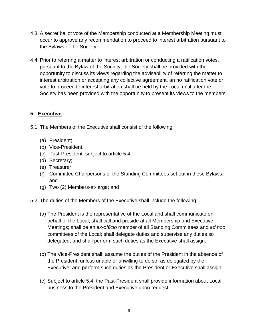- 4.3 A secret ballot vote of the Membership conducted at a Membership Meeting must occur to approve any recommendation to proceed to interest arbitration pursuant to the Bylaws of the Society.
- 4.4 Prior to referring a matter to interest arbitration or conducting a ratification votes, pursuant to the Bylaw of the Society, the Society shall be provided with the opportunity to discuss its views regarding the advisability of referring the matter to interest arbitration or accepting any collective agreement, an no ratification vote or vote to proceed to interest arbitration shall be held by the Local until after the Society has been provided with the opportunity to present its views to the members.

# **5 Executive**

- 5.1 The Members of the Executive shall consist of the following:
	- (a) President;
	- (b) Vice-President;
	- (c) Past-President, subject to article 5.4;
	- (d) Secretary;
	- (e) Treasurer;
	- (f) Committee Chairpersons of the Standing Committees set out in these Bylaws; and
	- (g) Two (2) Members-at-large; and
- 5.2 The duties of the Members of the Executive shall include the following:
	- (a) The President is the representative of the Local and shall communicate on behalf of the Local; shall call and preside at all Membership and Executive Meetings; shall be an *ex-officio* member of all Standing Committees and *ad hoc* committees of the Local; shall delegate duties and supervise any duties so delegated; and shall perform such duties as the Executive shall assign.
	- (b) The Vice-President shall: assume the duties of the President in the absence of the President, unless unable or unwilling to do so, as delegated by the Executive; and perform such duties as the President or Executive shall assign.
	- (c) Subject to article 5.4, the Past-President shall provide information about Local business to the President and Executive upon request.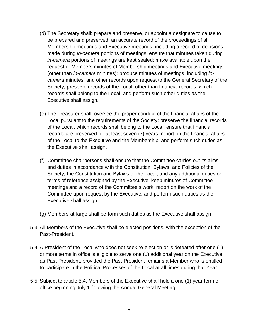- (d) The Secretary shall: prepare and preserve, or appoint a designate to cause to be prepared and preserved, an accurate record of the proceedings of all Membership meetings and Executive meetings, including a record of decisions made during *in-camera* portions of meetings; ensure that minutes taken during *in-camera* portions of meetings are kept sealed; make available upon the request of Members minutes of Membership meetings and Executive meetings (other than *in-camera* minutes); produce minutes of meetings, including *incamera* minutes, and other records upon request to the General Secretary of the Society; preserve records of the Local, other than financial records, which records shall belong to the Local; and perform such other duties as the Executive shall assign.
- (e) The Treasurer shall: oversee the proper conduct of the financial affairs of the Local pursuant to the requirements of the Society; preserve the financial records of the Local, which records shall belong to the Local; ensure that financial records are preserved for at least seven (7) years; report on the financial affairs of the Local to the Executive and the Membership; and perform such duties as the Executive shall assign.
- (f) Committee chairpersons shall ensure that the Committee carries out its aims and duties in accordance with the Constitution, Bylaws, and Policies of the Society, the Constitution and Bylaws of the Local, and any additional duties or terms of reference assigned by the Executive; keep minutes of Committee meetings and a record of the Committee's work; report on the work of the Committee upon request by the Executive; and perform such duties as the Executive shall assign.
- (g) Members-at-large shall perform such duties as the Executive shall assign.
- 5.3 All Members of the Executive shall be elected positions, with the exception of the Past-President.
- 5.4 A President of the Local who does not seek re-election or is defeated after one (1) or more terms in office is eligible to serve one (1) additional year on the Executive as Past-President, provided the Past-President remains a Member who is entitled to participate in the Political Processes of the Local at all times during that Year.
- 5.5 Subject to article 5.4, Members of the Executive shall hold a one (1) year term of office beginning July 1 following the Annual General Meeting.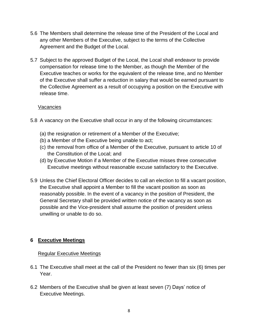- 5.6 The Members shall determine the release time of the President of the Local and any other Members of the Executive, subject to the terms of the Collective Agreement and the Budget of the Local.
- 5.7 Subject to the approved Budget of the Local, the Local shall endeavor to provide compensation for release time to the Member, as though the Member of the Executive teaches or works for the equivalent of the release time, and no Member of the Executive shall suffer a reduction in salary that would be earned pursuant to the Collective Agreement as a result of occupying a position on the Executive with release time.

#### Vacancies

- 5.8 A vacancy on the Executive shall occur in any of the following circumstances:
	- (a) the resignation or retirement of a Member of the Executive;
	- (b) a Member of the Executive being unable to act;
	- (c) the removal from office of a Member of the Executive, pursuant to article 10 of the Constitution of the Local; and
	- (d) by Executive Motion if a Member of the Executive misses three consecutive Executive meetings without reasonable excuse satisfactory to the Executive.
- 5.9 Unless the Chief Electoral Officer decides to call an election to fill a vacant position, the Executive shall appoint a Member to fill the vacant position as soon as reasonably possible. In the event of a vacancy in the position of President, the General Secretary shall be provided written notice of the vacancy as soon as possible and the Vice-president shall assume the position of president unless unwilling or unable to do so.

# **6 Executive Meetings**

# Regular Executive Meetings

- 6.1 The Executive shall meet at the call of the President no fewer than six (6) times per Year.
- 6.2 Members of the Executive shall be given at least seven (7) Days' notice of Executive Meetings.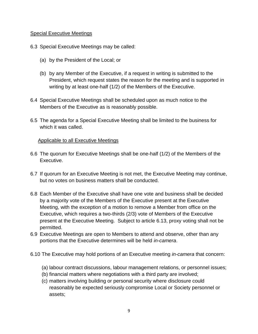#### Special Executive Meetings

- 6.3 Special Executive Meetings may be called:
	- (a) by the President of the Local; or
	- (b) by any Member of the Executive, if a request in writing is submitted to the President, which request states the reason for the meeting and is supported in writing by at least one-half (1/2) of the Members of the Executive.
- 6.4 Special Executive Meetings shall be scheduled upon as much notice to the Members of the Executive as is reasonably possible.
- 6.5 The agenda for a Special Executive Meeting shall be limited to the business for which it was called.

#### Applicable to all Executive Meetings

- 6.6 The quorum for Executive Meetings shall be one-half (1/2) of the Members of the Executive.
- 6.7 If quorum for an Executive Meeting is not met, the Executive Meeting may continue, but no votes on business matters shall be conducted.
- 6.8 Each Member of the Executive shall have one vote and business shall be decided by a majority vote of the Members of the Executive present at the Executive Meeting, with the exception of a motion to remove a Member from office on the Executive, which requires a two-thirds (2/3) vote of Members of the Executive present at the Executive Meeting. Subject to article 6.13, proxy voting shall not be permitted.
- 6.9 Executive Meetings are open to Members to attend and observe, other than any portions that the Executive determines will be held *in-camera*.
- 6.10 The Executive may hold portions of an Executive meeting *in-camera* that concern:
	- (a) labour contract discussions, labour management relations, or personnel issues;
	- (b) financial matters where negotiations with a third party are involved;
	- (c) matters involving building or personal security where disclosure could reasonably be expected seriously compromise Local or Society personnel or assets;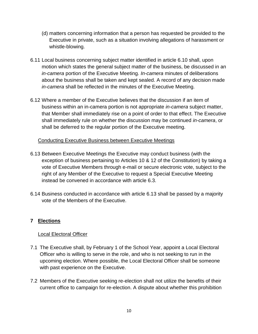- (d) matters concerning information that a person has requested be provided to the Executive in private, such as a situation involving allegations of harassment or whistle-blowing.
- 6.11 Local business concerning subject matter identified in article 6.10 shall, upon motion which states the general subject matter of the business, be discussed in an *in-camera* portion of the Executive Meeting. *In-camera* minutes of deliberations about the business shall be taken and kept sealed. A record of any decision made *in-camera* shall be reflected in the minutes of the Executive Meeting.
- 6.12 Where a member of the Executive believes that the discussion if an item of business within an in-camera portion is not appropriate *in-camera* subject matter, that Member shall immediately rise on a point of order to that effect. The Executive shall immediately rule on whether the discussion may be continued *in-camera*, or shall be deferred to the regular portion of the Executive meeting.

# Conducting Executive Business between Executive Meetings

- 6.13 Between Executive Meetings the Executive may conduct business (with the exception of business pertaining to Articles 10 & 12 of the Constitution) by taking a vote of Executive Members through e-mail or secure electronic vote, subject to the right of any Member of the Executive to request a Special Executive Meeting instead be convened in accordance with article 6.3.
- 6.14 Business conducted in accordance with article 6.13 shall be passed by a majority vote of the Members of the Executive.

# **7 Elections**

#### Local Electoral Officer

- 7.1 The Executive shall, by February 1 of the School Year, appoint a Local Electoral Officer who is willing to serve in the role, and who is not seeking to run in the upcoming election. Where possible, the Local Electoral Officer shall be someone with past experience on the Executive.
- 7.2 Members of the Executive seeking re-election shall not utilize the benefits of their current office to campaign for re-election. A dispute about whether this prohibition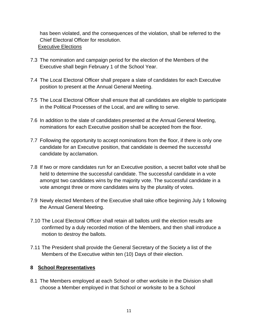has been violated, and the consequences of the violation, shall be referred to the Chief Electoral Officer for resolution. Executive Elections

- 7.3 The nomination and campaign period for the election of the Members of the Executive shall begin February 1 of the School Year.
- 7.4 The Local Electoral Officer shall prepare a slate of candidates for each Executive position to present at the Annual General Meeting.
- 7.5 The Local Electoral Officer shall ensure that all candidates are eligible to participate in the Political Processes of the Local, and are willing to serve.
- 7.6 In addition to the slate of candidates presented at the Annual General Meeting, nominations for each Executive position shall be accepted from the floor.
- 7.7 Following the opportunity to accept nominations from the floor, if there is only one candidate for an Executive position, that candidate is deemed the successful candidate by acclamation.
- 7.8 If two or more candidates run for an Executive position, a secret ballot vote shall be held to determine the successful candidate. The successful candidate in a vote amongst two candidates wins by the majority vote. The successful candidate in a vote amongst three or more candidates wins by the plurality of votes.
- 7.9 Newly elected Members of the Executive shall take office beginning July 1 following the Annual General Meeting.
- 7.10 The Local Electoral Officer shall retain all ballots until the election results are confirmed by a duly recorded motion of the Members, and then shall introduce a motion to destroy the ballots.
- 7.11 The President shall provide the General Secretary of the Society a list of the Members of the Executive within ten (10) Days of their election.

# **8 School Representatives**

8.1 The Members employed at each School or other worksite in the Division shall choose a Member employed in that School or worksite to be a School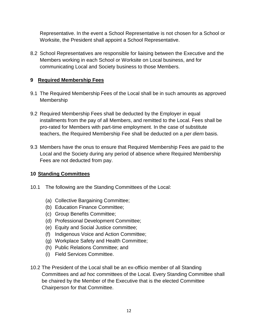Representative. In the event a School Representative is not chosen for a School or Worksite, the President shall appoint a School Representative.

8.2 School Representatives are responsible for liaising between the Executive and the Members working in each School or Worksite on Local business, and for communicating Local and Society business to those Members.

# **9 Required Membership Fees**

- 9.1 The Required Membership Fees of the Local shall be in such amounts as approved Membership
- 9.2 Required Membership Fees shall be deducted by the Employer in equal installments from the pay of all Members, and remitted to the Local. Fees shall be pro-rated for Members with part-time employment. In the case of substitute teachers, the Required Membership Fee shall be deducted on a *per diem* basis.
- 9.3 Members have the onus to ensure that Required Membership Fees are paid to the Local and the Society during any period of absence where Required Membership Fees are not deducted from pay.

# **10 Standing Committees**

- 10.1 The following are the Standing Committees of the Local:
	- (a) Collective Bargaining Committee;
	- (b) Education Finance Committee;
	- (c) Group Benefits Committee;
	- (d) Professional Development Committee;
	- (e) Equity and Social Justice committee;
	- (f) Indigenous Voice and Action Committee;
	- (g) Workplace Safety and Health Committee;
	- (h) Public Relations Committee; and
	- (i) Field Services Committee.
- 10.2 The President of the Local shall be an ex-officio member of all Standing Committees and *ad hoc* committees of the Local. Every Standing Committee shall be chaired by the Member of the Executive that is the elected Committee Chairperson for that Committee.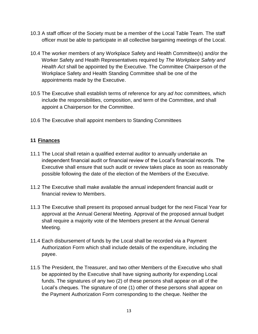- 10.3 A staff officer of the Society must be a member of the Local Table Team. The staff officer must be able to participate in all collective bargaining meetings of the Local.
- 10.4 The worker members of any Workplace Safety and Health Committee(s) and/or the Worker Safety and Health Representatives required by *The Workplace Safety and Health Act* shall be appointed by the Executive. The Committee Chairperson of the Workplace Safety and Health Standing Committee shall be one of the appointments made by the Executive.
- 10.5 The Executive shall establish terms of reference for any *ad hoc* committees, which include the responsibilities, composition, and term of the Committee, and shall appoint a Chairperson for the Committee.
- 10.6 The Executive shall appoint members to Standing Committees

# **11 Finances**

- 11.1 The Local shall retain a qualified external auditor to annually undertake an independent financial audit or financial review of the Local's financial records. The Executive shall ensure that such audit or review takes place as soon as reasonably possible following the date of the election of the Members of the Executive.
- 11.2 The Executive shall make available the annual independent financial audit or financial review to Members.
- 11.3 The Executive shall present its proposed annual budget for the next Fiscal Year for approval at the Annual General Meeting. Approval of the proposed annual budget shall require a majority vote of the Members present at the Annual General Meeting.
- 11.4 Each disbursement of funds by the Local shall be recorded via a Payment Authorization Form which shall include details of the expenditure, including the payee.
- 11.5 The President, the Treasurer, and two other Members of the Executive who shall be appointed by the Executive shall have signing authority for expending Local funds. The signatures of any two (2) of these persons shall appear on all of the Local's cheques. The signature of one (1) other of these persons shall appear on the Payment Authorization Form corresponding to the cheque. Neither the